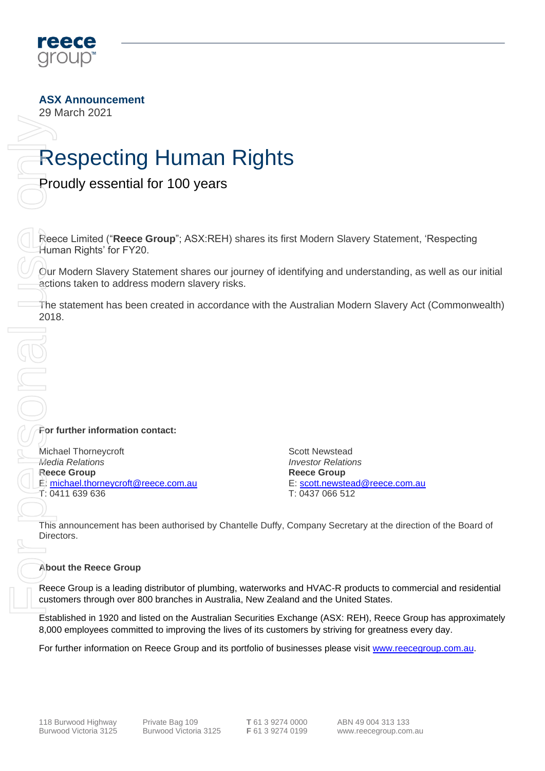

**ASX Announcement**

29 March 2021

## Respecting Human Rights

Proudly essential for 100 years

Reece Limited ("**Reece Group**"; ASX:REH) shares its first Modern Slavery Statement, 'Respecting Human Rights' for FY20. For further information on Reece Group<br>
Fragme Group Control of the CREATELY STATE CHANNEL STATE Information of the CREATELY SCALE CHANNEL CONTROL CONTROL CONTROL CONTROL CONTROL CONTROL CONTROL CONTROL CONTROL CONTROL CON

Our Modern Slavery Statement shares our journey of identifying and understanding, as well as our initial actions taken to address modern slavery risks.

The statement has been created in accordance with the Australian Modern Slavery Act (Commonwealth) 2018.

**For further information contact:**

Michael Thorneycroft *Media Relations* **Reece Group** E: [michael.thorneycroft@reece.com.au](mailto:michael.thorneycroft@reece.com.au) T: 0411 639 636

Scott Newstead *Investor Relations* **Reece Group** E: [scott.newstead@reece.com.au](mailto:scott.newstead@reece.com.au) T: 0437 066 512

This announcement has been authorised by Chantelle Duffy, Company Secretary at the direction of the Board of Directors.

#### **About the Reece Group**

Reece Group is a leading distributor of plumbing, waterworks and HVAC-R products to commercial and residential customers through over 800 branches in Australia, New Zealand and the United States.

Established in 1920 and listed on the Australian Securities Exchange (ASX: REH), Reece Group has approximately 8,000 employees committed to improving the lives of its customers by striving for greatness every day.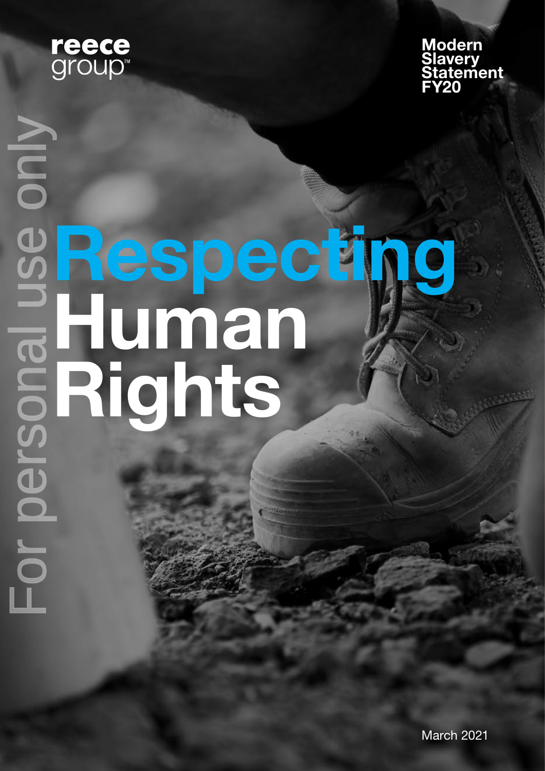



# For personal use only NIOO Respecting Human Rights

March 2021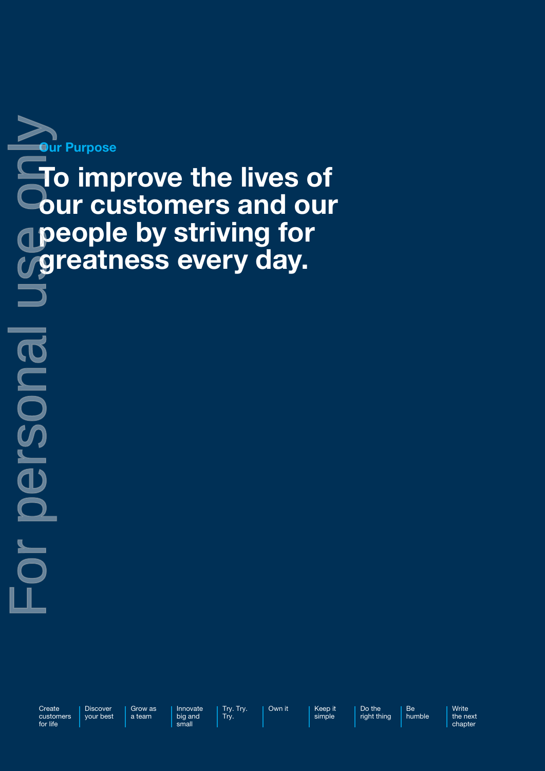

To improve the lives of our customers and our **People by striving for** greatness every day. For personal use paply

**Create** customers for life

**Leucalduc** 

Discover your best

Grow as a team

Innovate Try. Try. Try.

big and small

Own it | Keep it simple

Do the right thing Be

humble

Write the next chapter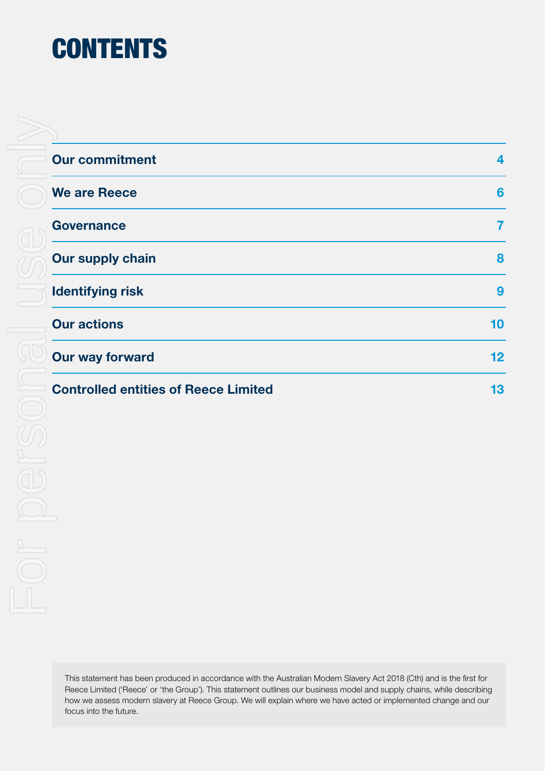# **CONTENTS**

| <b>Our commitment</b>                       | 4                 |
|---------------------------------------------|-------------------|
| <b>We are Reece</b>                         | 6                 |
| <b>Governance</b>                           | 7                 |
| <b>Our supply chain</b>                     | 8                 |
| <b>Identifying risk</b>                     | 9                 |
| <b>Our actions</b>                          | 10                |
| <b>Our way forward</b>                      | $12 \overline{ }$ |
| <b>Controlled entities of Reece Limited</b> | 13                |

This statement has been produced in accordance with the Australian Modern Slavery Act 2018 (Cth) and is the first for Reece Limited ('Reece' or 'the Group'). This statement outlines our business model and supply chains, while describing how we assess modern slavery at Reece Group. We will explain where we have acted or implemented change and our focus into the future.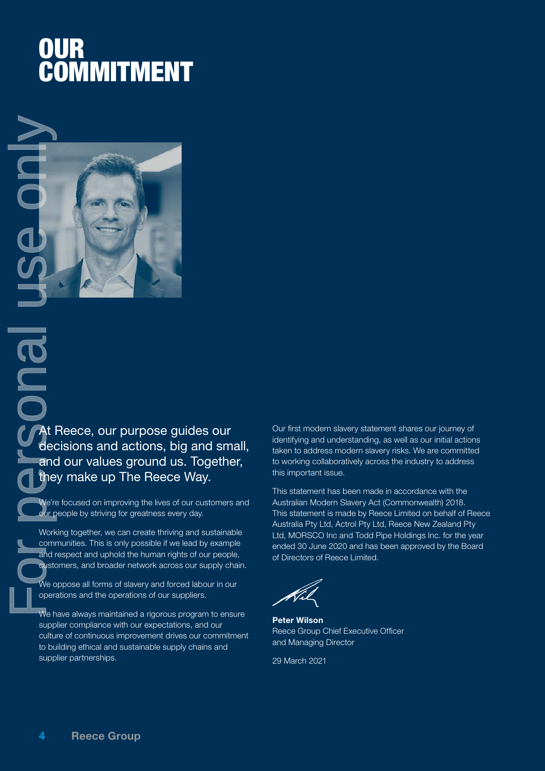## OUR COMMITMENT



At Reece, our purpose guides our decisions and actions, big and small, and our values ground us. Together, they make up The Reece Way.

We're focused on improving the lives of our customers and our people by striving for greatness every day.

Working together, we can create thriving and sustainable communities. This is only possible if we lead by example and respect and uphold the human rights of our people, customers, and broader network across our supply chain.

We oppose all forms of slavery and forced labour in our operations and the operations of our suppliers.

We have always maintained a rigorous program to ensure supplier compliance with our expectations, and our culture of continuous improvement drives our commitment to building ethical and sustainable supply chains and

Our first modern slavery statement shares our journey of identifying and understanding, as well as our initial actions taken to address modern slavery risks. We are committed to working collaboratively across the industry to address this important issue.

This statement has been made in accordance with the Australian Modern Slavery Act (Commonwealth) 2018. This statement is made by Reece Limited on behalf of Reece Australia Pty Ltd, Actrol Pty Ltd, Reece New Zealand Pty Ltd, MORSCO Inc and Todd Pipe Holdings Inc. for the year ended 30 June 2020 and has been approved by the Board of Directors of Reece Limited.

Peter Wilson Reece Group Chief Executive Officer and Managing Director

29 March 2021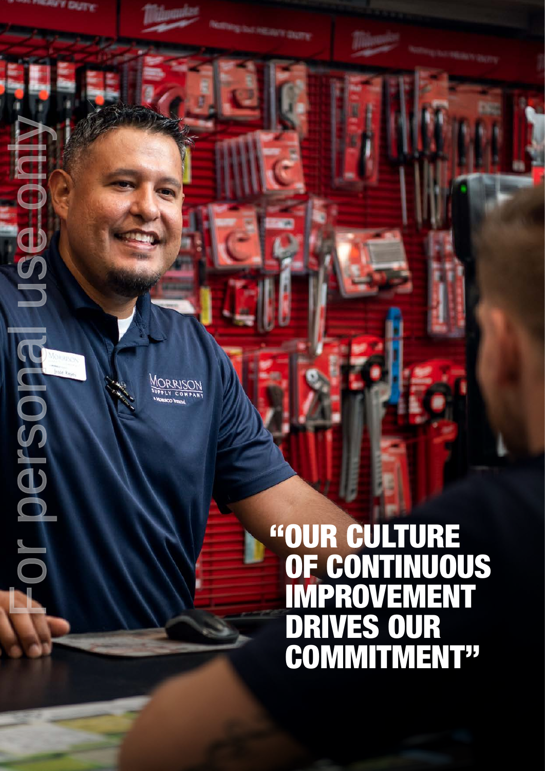"OUR CULTURE OF CONTINUOUS IMPROVEMENT DRIVES OUR COMMITMENT"

For personal use only

MORRISON

**PEROSJONIO** 

USe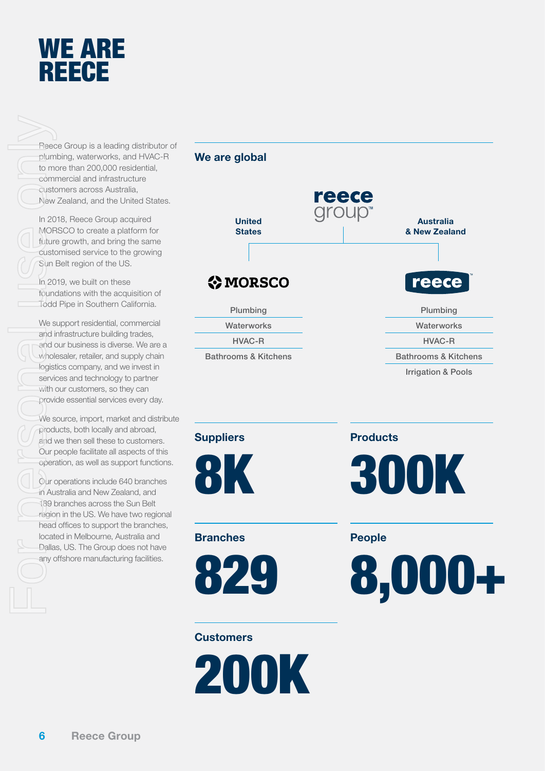

Reece Group is a leading distributor of plumbing, waterworks, and HVAC-R to more than 200,000 residential, commercial and infrastructure customers across Australia, New Zealand, and the United States.

In 2018, Reece Group acquired MORSCO to create a platform for future growth, and bring the same customised service to the growing Sun Belt region of the US.

In 2019, we built on these foundations with the acquisition of Todd Pipe in Southern California.

We support residential, commercial and infrastructure building trades, and our business is diverse. We are a wholesaler, retailer, and supply chain logistics company, and we invest in services and technology to partner with our customers, so they can provide essential services every day.

We source, import, market and distribute products, both locally and abroad, and we then sell these to customers. Our people facilitate all aspects of this operation, as well as support functions.

Our operations include 640 branches in Australia and New Zealand, and 189 branches across the Sun Belt region in the US. We have two regional head offices to support the branches, located in Melbourne, Australia and Dallas, US. The Group does not have any offshore manufacturing facilities.





#### **Suppliers**



**Branches** 



#### **Customers**

200K

**Products** 



People

8,000+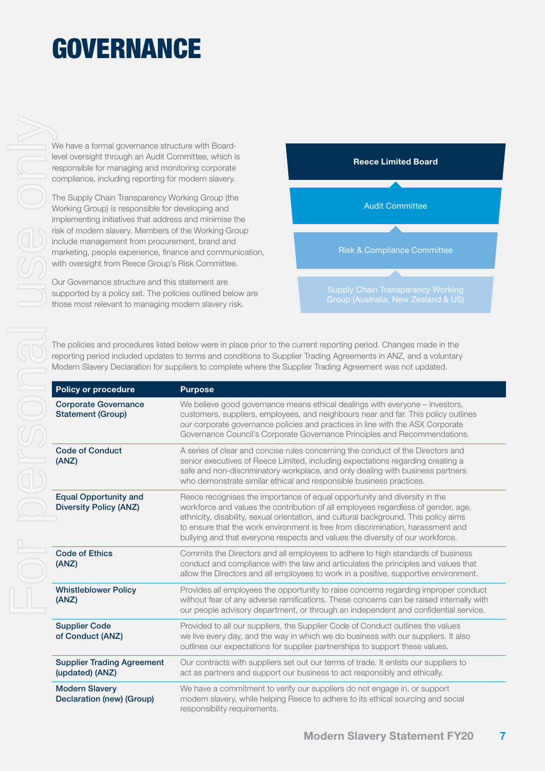# **GOVERNANCE**

We have a formal governance structure with Boardlevel oversight through an Audit Committee, which is responsible for managing and monitoring corporate compliance, including reporting for modern slavery.

The Supply Chain Transparency Working Group (the Working Group) is responsible for developing and implementing initiatives that address and minimise the risk of modern slavery. Members of the Working Group include management from procurement, brand and marketing, people experience, finance and communication, with oversight from Reece Group's Risk Committee.

Our Governance structure and this statement are supported by a policy set. The policies outlined below are those most relevant to managing modern slavery risk.



The policies and procedures listed below were in place prior to the current reporting period. Changes made in the reporting period included updates to terms and conditions to Supplier Trading Agreements in ANZ, and a voluntary Modern Slavery Declaration for suppliers to complete where the Supplier Trading Agreement was not updated.

| <b>Policy or procedure</b>                                    | <b>Purpose</b>                                                                                                                                                                                                                                                                                                                                                                                                              |
|---------------------------------------------------------------|-----------------------------------------------------------------------------------------------------------------------------------------------------------------------------------------------------------------------------------------------------------------------------------------------------------------------------------------------------------------------------------------------------------------------------|
| <b>Corporate Governance</b><br><b>Statement (Group)</b>       | We believe good governance means ethical dealings with everyone - investors,<br>customers, suppliers, employees, and neighbours near and far. This policy outlines<br>our corporate governance policies and practices in line with the ASX Corporate<br>Governance Council's Corporate Governance Principles and Recommendations.                                                                                           |
| <b>Code of Conduct</b><br>(ANZ)                               | A series of clear and concise rules concerning the conduct of the Directors and<br>senior executives of Reece Limited, including expectations regarding creating a<br>safe and non-discriminatory workplace, and only dealing with business partners<br>who demonstrate similar ethical and responsible business practices.                                                                                                 |
| <b>Equal Opportunity and</b><br><b>Diversity Policy (ANZ)</b> | Reece recognises the importance of equal opportunity and diversity in the<br>workforce and values the contribution of all employees regardless of gender, age,<br>ethnicity, disability, sexual orientation, and cultural background. This policy aims<br>to ensure that the work environment is free from discrimination, harassment and<br>bullying and that everyone respects and values the diversity of our workforce. |
| <b>Code of Ethics</b><br>(ANZ)                                | Commits the Directors and all employees to adhere to high standards of business<br>conduct and compliance with the law and articulates the principles and values that<br>allow the Directors and all employees to work in a positive, supportive environment.                                                                                                                                                               |
| <b>Whistleblower Policy</b><br>(ANZ)                          | Provides all employees the opportunity to raise concerns regarding improper conduct<br>without fear of any adverse ramifications. These concerns can be raised internally with<br>our people advisory department, or through an independent and confidential service.                                                                                                                                                       |
| <b>Supplier Code</b><br>of Conduct (ANZ)                      | Provided to all our suppliers, the Supplier Code of Conduct outlines the values<br>we live every day, and the way in which we do business with our suppliers. It also<br>outlines our expectations for supplier partnerships to support these values.                                                                                                                                                                       |
| <b>Supplier Trading Agreement</b><br>(updated) (ANZ)          | Our contracts with suppliers set out our terms of trade. It enlists our suppliers to<br>act as partners and support our business to act responsibly and ethically.                                                                                                                                                                                                                                                          |
| <b>Modern Slavery</b><br>Declaration (new) (Group)            | We have a commitment to verify our suppliers do not engage in, or support<br>modern slavery, while helping Reece to adhere to its ethical sourcing and social<br>responsibility requirements.                                                                                                                                                                                                                               |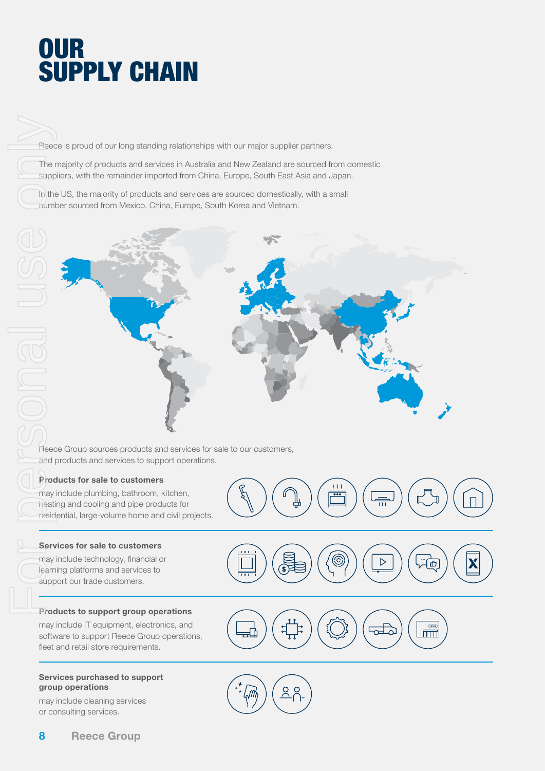## **OUR SUPPLY CHAIN**

Reece is proud of our long standing relationships with our major supplier partners.

The majority of products and services in Australia and New Zealand are sourced from domestic suppliers, with the remainder imported from China, Europe, South East Asia and Japan.

In the US, the majority of products and services are sourced domestically, with a small number sourced from Mexico, China, Europe, South Korea and Vietnam.



Reece Group sources products and services for sale to our customers, and products and services to support operations.

#### Products for sale to customers

may include plumbing, bathroom, kitchen, heating and cooling and pipe products for residential, large-volume home and civil projects.

#### Services for sale to customers

may include technology, financial or learning platforms and services to

#### Products to support group operations

may include IT equipment, electronics, and software to support Reece Group operations, fleet and retail store requirements.

#### Services purchased to support group operations

may include cleaning services or consulting services.





 $\overline{\mathcal{V}}$  $\overline{\bullet}$ 

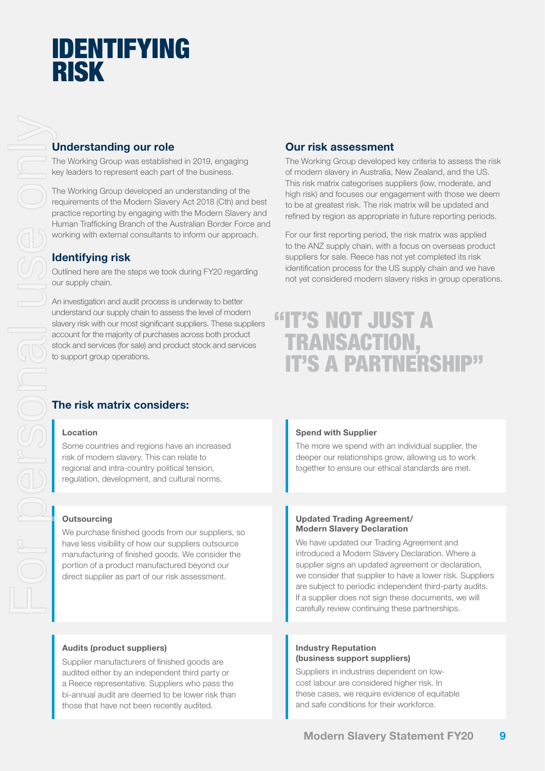## IDENTIFYING RISK

#### Understanding our role

The Working Group was established in 2019, engaging key leaders to represent each part of the business.

The Working Group developed an understanding of the requirements of the Modern Slavery Act 2018 (Cth) and best practice reporting by engaging with the Modern Slavery and Human Trafficking Branch of the Australian Border Force and working with external consultants to inform our approach.

#### Identifying risk

Outlined here are the steps we took during FY20 regarding our supply chain.

An investigation and audit process is underway to better understand our supply chain to assess the level of modern slavery risk with our most significant suppliers. These suppliers account for the majority of purchases across both product stock and services (for sale) and product stock and services to support group operations.

#### Our risk assessment

The Working Group developed key criteria to assess the risk of modern slavery in Australia, New Zealand, and the US. This risk matrix categorises suppliers (low, moderate, and high risk) and focuses our engagement with those we deem to be at greatest risk. The risk matrix will be updated and refined by region as appropriate in future reporting periods.

For our first reporting period, the risk matrix was applied to the ANZ supply chain, with a focus on overseas product suppliers for sale. Reece has not yet completed its risk identification process for the US supply chain and we have not yet considered modern slavery risks in group operations.

### **"IT'S NOT JUST A** TRANSACTION, IT'S A PARTNERSHIP"

#### The risk matrix considers:

#### Location

Some countries and regions have an increased risk of modern slavery. This can relate to regional and intra-country political tension, regulation, development, and cultural norms.

#### **Outsourcing**

We purchase finished goods from our suppliers, so have less visibility of how our suppliers outsource manufacturing of finished goods. We consider the portion of a product manufactured beyond our direct supplier as part of our risk assessment.

#### Spend with Supplier

The more we spend with an individual supplier, the deeper our relationships grow, allowing us to work together to ensure our ethical standards are met.

#### Updated Trading Agreement/ Modern Slavery Declaration

We have updated our Trading Agreement and introduced a Modern Slavery Declaration. Where a supplier signs an updated agreement or declaration, we consider that supplier to have a lower risk. Suppliers are subject to periodic independent third-party audits. If a supplier does not sign these documents, we will carefully review continuing these partnerships.

#### Audits (product suppliers)

Supplier manufacturers of finished goods are audited either by an independent third party or a Reece representative. Suppliers who pass the bi-annual audit are deemed to be lower risk than those that have not been recently audited.

#### Industry Reputation (business support suppliers)

Suppliers in industries dependent on lowcost labour are considered higher risk. In these cases, we require evidence of equitable and safe conditions for their workforce.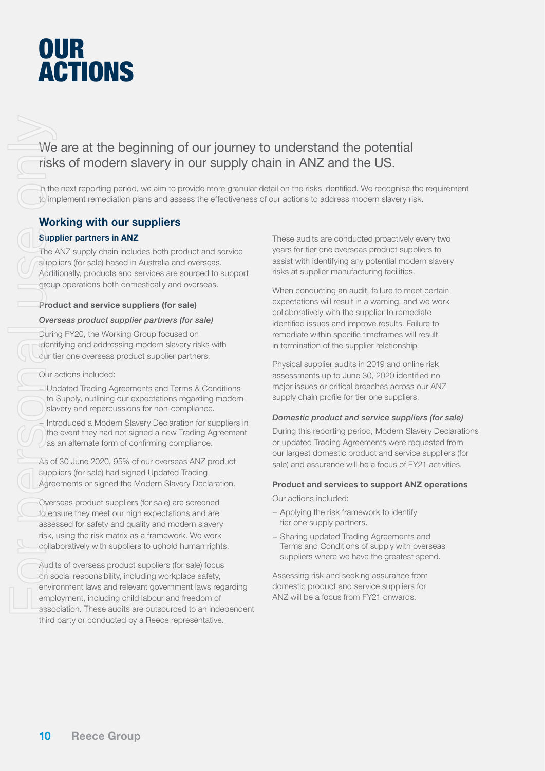## **OUR ACTIONS**

We are at the beginning of our journey to understand the potential we are at the beginning of our journey to understand the peter.

In the next reporting period, we aim to provide more granular detail on the risks identified. We recognise the requirement to implement remediation plans and assess the effectiveness of our actions to address modern slavery risk.

#### Working with our suppliers

#### Supplier partners in ANZ

The ANZ supply chain includes both product and service suppliers (for sale) based in Australia and overseas. Additionally, products and services are sourced to support group operations both domestically and overseas.

#### Product and service suppliers (for sale)

#### *Overseas product supplier partners (for sale)*

During FY20, the Working Group focused on identifying and addressing modern slavery risks with our tier one overseas product supplier partners.

Our actions included:

− Updated Trading Agreements and Terms & Conditions to Supply, outlining our expectations regarding modern slavery and repercussions for non-compliance.

− Introduced a Modern Slavery Declaration for suppliers in the event they had not signed a new Trading Agreement as an alternate form of confirming compliance.

As of 30 June 2020, 95% of our overseas ANZ product suppliers (for sale) had signed Updated Trading Agreements or signed the Modern Slavery Declaration.

Overseas product suppliers (for sale) are screened to ensure they meet our high expectations and are assessed for safety and quality and modern slavery risk, using the risk matrix as a framework. We work collaboratively with suppliers to uphold human rights. For Personal Upper<br>For Personal Upper<br>For Personal Upper<br>For Personal Upper<br>For Personal Upper<br>Supper<br>Cover: Upper<br>Agree<br>Cover: Log Dans<br>As of Supper<br>Agree<br>Cover: Log Dans<br>As of Supper<br>Agree<br>(Cover: Log Dans<br>As of Supper<br>A

Audits of overseas product suppliers (for sale) focus on social responsibility, including workplace safety, environment laws and relevant government laws regarding employment, including child labour and freedom of association. These audits are outsourced to an independent third party or conducted by a Reece representative.

These audits are conducted proactively every two years for tier one overseas product suppliers to assist with identifying any potential modern slavery risks at supplier manufacturing facilities.

When conducting an audit, failure to meet certain expectations will result in a warning, and we work collaboratively with the supplier to remediate identified issues and improve results. Failure to remediate within specific timeframes will result in termination of the supplier relationship.

Physical supplier audits in 2019 and online risk assessments up to June 30, 2020 identified no major issues or critical breaches across our ANZ supply chain profile for tier one suppliers.

#### *Domestic product and service suppliers (for sale)*

During this reporting period, Modern Slavery Declarations or updated Trading Agreements were requested from our largest domestic product and service suppliers (for sale) and assurance will be a focus of FY21 activities.

#### Product and services to support ANZ operations

Our actions included:

- − Applying the risk framework to identify tier one supply partners.
- − Sharing updated Trading Agreements and Terms and Conditions of supply with overseas suppliers where we have the greatest spend.

Assessing risk and seeking assurance from domestic product and service suppliers for ANZ will be a focus from FY21 onwards.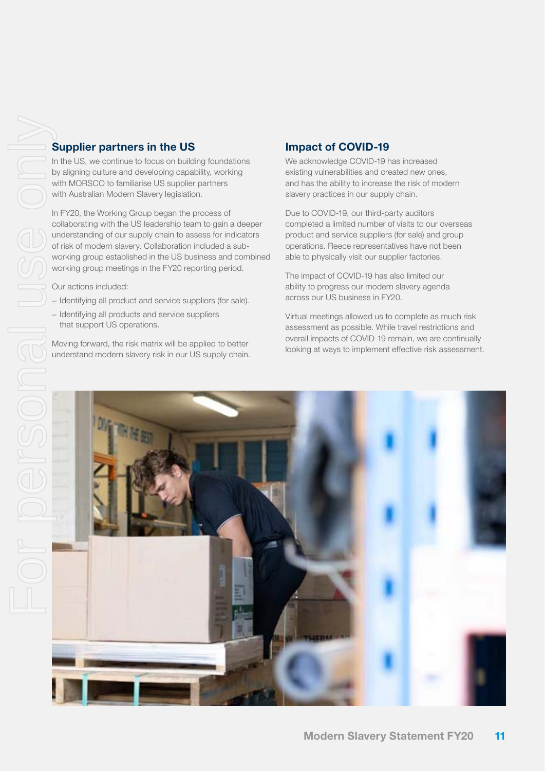#### Supplier partners in the US

In the US, we continue to focus on building foundations by aligning culture and developing capability, working with MORSCO to familiarise US supplier partners with Australian Modern Slavery legislation.

In FY20, the Working Group began the process of collaborating with the US leadership team to gain a deeper understanding of our supply chain to assess for indicators of risk of modern slavery. Collaboration included a subworking group established in the US business and combined working group meetings in the FY20 reporting period.

Our actions included:

- − Identifying all product and service suppliers (for sale).
- − Identifying all products and service suppliers that support US operations.

Moving forward, the risk matrix will be applied to better understand modern slavery risk in our US supply chain.

#### Impact of COVID-19

We acknowledge COVID-19 has increased existing vulnerabilities and created new ones, and has the ability to increase the risk of modern slavery practices in our supply chain.

Due to COVID-19, our third-party auditors completed a limited number of visits to our overseas product and service suppliers (for sale) and group operations. Reece representatives have not been able to physically visit our supplier factories.

The impact of COVID-19 has also limited our ability to progress our modern slavery agenda across our US business in FY20.

Virtual meetings allowed us to complete as much risk assessment as possible. While travel restrictions and overall impacts of COVID-19 remain, we are continually looking at ways to implement effective risk assessment.

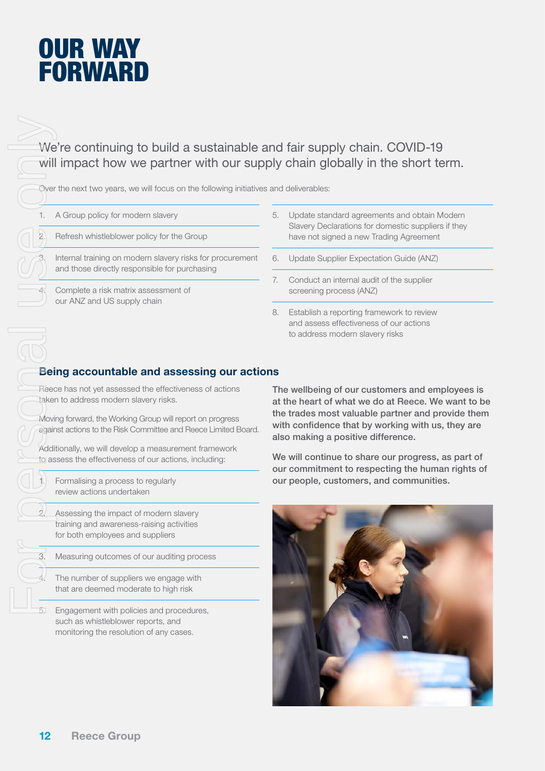## OUR WAY FORWARD

We're continuing to build a sustainable and fair supply chain. COVID-19 will impact how we partner with our supply chain globally in the short term.

Over the next two years, we will focus on the following initiatives and deliverables:

- 1. A Group policy for modern slavery
- 2. Refresh whistleblower policy for the Group

Internal training on modern slavery risks for procurement and those directly responsible for purchasing

4. Complete a risk matrix assessment of our ANZ and US supply chain

- 5. Update standard agreements and obtain Modern Slavery Declarations for domestic suppliers if they have not signed a new Trading Agreement
- 6. Update Supplier Expectation Guide (ANZ)
- 7. Conduct an internal audit of the supplier screening process (ANZ)
- 8. Establish a reporting framework to review and assess effectiveness of our actions to address modern slavery risks

#### Being accountable and assessing our actions

Reece has not yet assessed the effectiveness of actions taken to address modern slavery risks.

Moving forward, the Working Group will report on progress against actions to the Risk Committee and Reece Limited Board.

Additionally, we will develop a measurement framework to assess the effectiveness of our actions, including:

Formalising a process to regularly review actions undertaken

Assessing the impact of modern slavery training and awareness-raising activities for both employees and suppliers

3. Measuring outcomes of our auditing process

The number of suppliers we engage with that are deemed moderate to high risk

5. Engagement with policies and procedures, such as whistleblower reports, and monitoring the resolution of any cases.

The wellbeing of our customers and employees is at the heart of what we do at Reece. We want to be the trades most valuable partner and provide them with confidence that by working with us, they are also making a positive difference.

We will continue to share our progress, as part of our commitment to respecting the human rights of our people, customers, and communities.

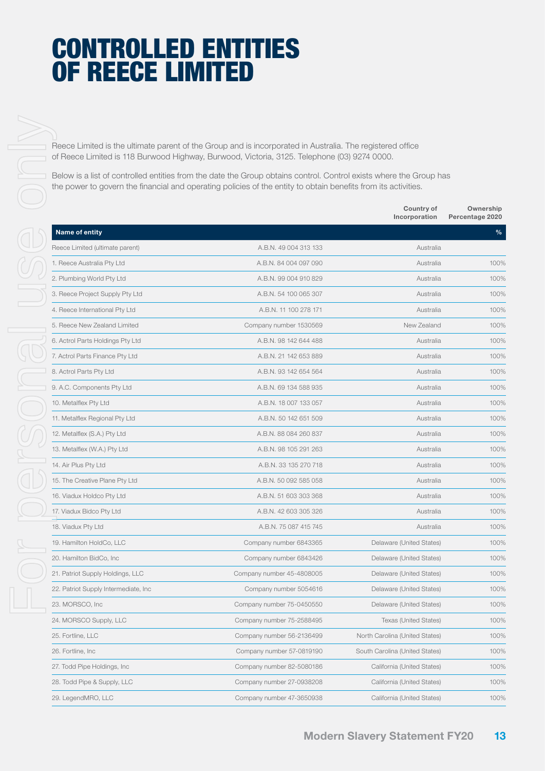## CONTROLLED ENTITIES OF REECE LIMITED

|                                       | Reece Limited is the ultimate parent of the Group and is incorporated in Australia. The registered office<br>of Reece Limited is 118 Burwood Highway, Burwood, Victoria, 3125. Telephone (03) 9274 0000.                             |                                |                              |
|---------------------------------------|--------------------------------------------------------------------------------------------------------------------------------------------------------------------------------------------------------------------------------------|--------------------------------|------------------------------|
|                                       | Below is a list of controlled entities from the date the Group obtains control. Control exists where the Group has<br>the power to govern the financial and operating policies of the entity to obtain benefits from its activities. |                                |                              |
|                                       |                                                                                                                                                                                                                                      | Country of<br>Incorporation    | Ownership<br>Percentage 2020 |
| Name of entity                        |                                                                                                                                                                                                                                      |                                | %                            |
| Reece Limited (ultimate parent)       | A.B.N. 49 004 313 133                                                                                                                                                                                                                | Australia                      |                              |
| 1. Reece Australia Pty Ltd            | A.B.N. 84 004 097 090                                                                                                                                                                                                                | Australia                      | 100%                         |
| 2. Plumbing World Pty Ltd             | A.B.N. 99 004 910 829                                                                                                                                                                                                                | Australia                      | 100%                         |
| 3. Reece Project Supply Pty Ltd       | A.B.N. 54 100 065 307                                                                                                                                                                                                                | Australia                      | 100%                         |
| 4. Reece International Pty Ltd        | A.B.N. 11 100 278 171                                                                                                                                                                                                                | Australia                      | 100%                         |
| 5. Reece New Zealand Limited          | Company number 1530569                                                                                                                                                                                                               | New Zealand                    | 100%                         |
| 6. Actrol Parts Holdings Pty Ltd      | A.B.N. 98 142 644 488                                                                                                                                                                                                                | Australia                      | 100%                         |
| 7. Actrol Parts Finance Pty Ltd       | A.B.N. 21 142 653 889                                                                                                                                                                                                                | Australia                      | 100%                         |
| 8. Actrol Parts Pty Ltd               | A.B.N. 93 142 654 564                                                                                                                                                                                                                | Australia                      | 100%                         |
| 9. A.C. Components Pty Ltd            | A.B.N. 69 134 588 935                                                                                                                                                                                                                | Australia                      | 100%                         |
| 10. Metalflex Pty Ltd                 | A.B.N. 18 007 133 057                                                                                                                                                                                                                | Australia                      | 100%                         |
| 11. Metalflex Regional Pty Ltd        | A.B.N. 50 142 651 509                                                                                                                                                                                                                | Australia                      | 100%                         |
| 12. Metalflex (S.A.) Pty Ltd          | A.B.N. 88 084 260 837                                                                                                                                                                                                                | Australia                      | 100%                         |
| 13. Metalflex (W.A.) Pty Ltd          | A.B.N. 98 105 291 263                                                                                                                                                                                                                | Australia                      | 100%                         |
| 14. Air Plus Pty Ltd                  | A.B.N. 33 135 270 718                                                                                                                                                                                                                | Australia                      | 100%                         |
| 15. The Creative Plane Pty Ltd        | A.B.N. 50 092 585 058                                                                                                                                                                                                                | Australia                      | 100%                         |
| 16. Viadux Holdco Pty Ltd             | A.B.N. 51 603 303 368                                                                                                                                                                                                                | Australia                      | 100%                         |
| 17. Viadux Bidco Pty Ltd              | A.B.N. 42 603 305 326                                                                                                                                                                                                                | Australia                      | 100%                         |
| 18. Viadux Pty Ltd                    | A.B.N. 75 087 415 745                                                                                                                                                                                                                | Australia                      | 100%                         |
| 19. Hamilton HoldCo, LLC              | Company number 6843365                                                                                                                                                                                                               | Delaware (United States)       | 100%                         |
| 20. Hamilton BidCo, Inc               | Company number 6843426                                                                                                                                                                                                               | Delaware (United States)       | 100%                         |
| 21. Patriot Supply Holdings, LLC      | Company number 45-4808005                                                                                                                                                                                                            | Delaware (United States)       | 100%                         |
| 22. Patriot Supply Intermediate, Inc. | Company number 5054616                                                                                                                                                                                                               | Delaware (United States)       | 100%                         |
| 23. MORSCO, Inc.                      | Company number 75-0450550                                                                                                                                                                                                            | Delaware (United States)       | 100%                         |
| 24. MORSCO Supply, LLC                | Company number 75-2588495                                                                                                                                                                                                            | Texas (United States)          | 100%                         |
| 25. Fortline, LLC                     | Company number 56-2136499                                                                                                                                                                                                            | North Carolina (United States) | 100%                         |
| 26. Fortline, Inc.                    | Company number 57-0819190                                                                                                                                                                                                            | South Carolina (United States) | 100%                         |
| 27. Todd Pipe Holdings, Inc.          | Company number 82-5080186                                                                                                                                                                                                            | California (United States)     | 100%                         |
| 28. Todd Pipe & Supply, LLC           | Company number 27-0938208                                                                                                                                                                                                            | California (United States)     | 100%                         |
| 29. LegendMRO, LLC                    | Company number 47-3650938                                                                                                                                                                                                            | California (United States)     | 100%                         |